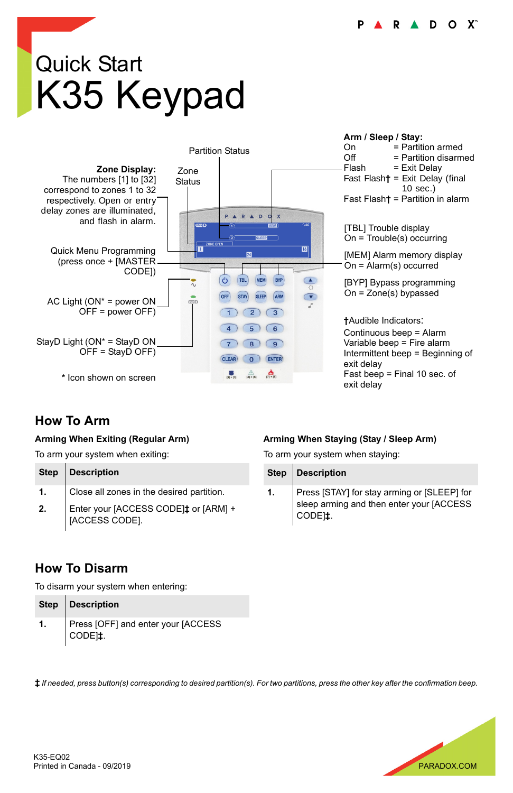# Quick Start K35 Keypad



#### **How To Arm**

#### **Arming When Exiting (Regular Arm)**

To arm your system when exiting:

|    | Step   Description                                     |
|----|--------------------------------------------------------|
| 1. | Close all zones in the desired partition.              |
| 2. | Enter your [ACCESS CODE]‡ or [ARM] +<br>[ACCESS CODE]. |

#### **Arming When Staying (Stay / Sleep Arm)**

To arm your system when staying:

|    | Step   Description                                                                                             |
|----|----------------------------------------------------------------------------------------------------------------|
| 1. | Press [STAY] for stay arming or [SLEEP] for<br>sleep arming and then enter your [ACCESS<br>CODE <sub>1</sub> . |

#### **How To Disarm**

To disarm your system when entering:

| Step   Description                                        |
|-----------------------------------------------------------|
| Press [OFF] and enter your [ACCESS<br>CODE <sub>1</sub> : |

**‡** *If needed, press button(s) corresponding to desired partition(s). For two partitions, press the other key after the confirmation beep.*